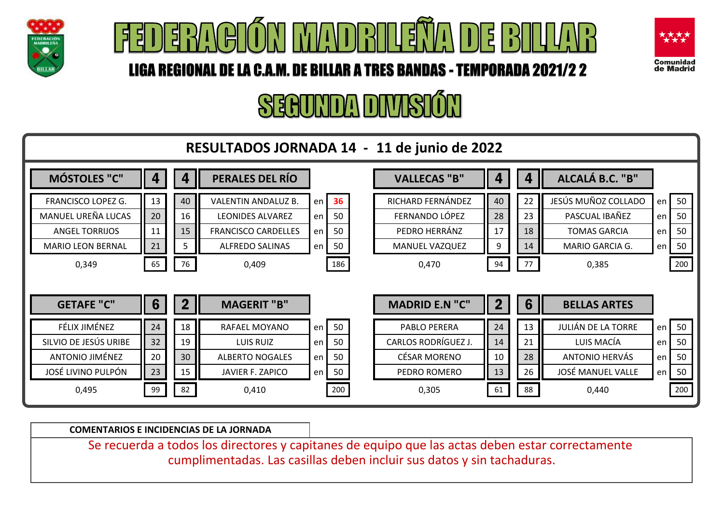





# SEAUNDA DIVISIÓN



**COMENTARIOS E INCIDENCIAS DE LA JORNADA**

Se recuerda a todos los directores y capitanes de equipo que las actas deben estar correctamente cumplimentadas. Las casillas deben incluir sus datos y sin tachaduras.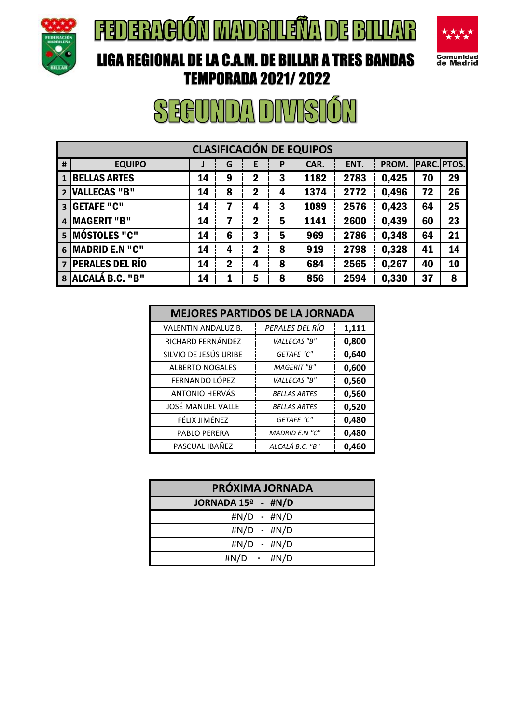

## **FEDERACIÓN MADRILEÑA DE BILLAR**



#### LIGA REGIONAL DE LA C.A.M. DE BILLAR A TRES BANDAS TEMPORADA 2021/ 2022

| <b>CLASIFICACIÓN DE EQUIPOS</b> |                        |    |                |             |   |      |      |       |    |                    |
|---------------------------------|------------------------|----|----------------|-------------|---|------|------|-------|----|--------------------|
| #                               | <b>EQUIPO</b>          | J  | G              | E           | P | CAR. | ENT. | PROM. |    | <b>PARC. PTOS.</b> |
|                                 | <b>BELLAS ARTES</b>    | 14 | 9              | $\mathbf 2$ | 3 | 1182 | 2783 | 0,425 | 70 | 29                 |
| $\overline{2}$                  | <b>VALLECAS "B"</b>    | 14 | 8              | $\mathbf 2$ | 4 | 1374 | 2772 | 0,496 | 72 | 26                 |
| $\overline{\mathbf{3}}$         | <b>GETAFE "C"</b>      | 14 | 7              | 4           | 3 | 1089 | 2576 | 0,423 | 64 | 25                 |
| 4                               | <b>IMAGERIT "B"</b>    | 14 | 7              | $\mathbf 2$ | 5 | 1141 | 2600 | 0,439 | 60 | 23                 |
|                                 | 5 MÓSTOLES "C"         | 14 | 6              | 3           | 5 | 969  | 2786 | 0,348 | 64 | 21                 |
|                                 | 6 MADRID E.N "C"       | 14 | 4              | $\mathbf 2$ | 8 | 919  | 2798 | 0,328 | 41 | 14                 |
| $\overline{7}$                  | <b>PERALES DEL RÍO</b> | 14 | $\overline{2}$ | 4           | 8 | 684  | 2565 | 0,267 | 40 | 10                 |
|                                 | 8 ALCALÁ B.C. "B"      | 14 | 1              | 5           | 8 | 856  | 2594 | 0,330 | 37 | 8                  |

| <b>MEJORES PARTIDOS DE LA JORNADA</b> |                       |       |  |  |  |  |  |  |
|---------------------------------------|-----------------------|-------|--|--|--|--|--|--|
| <b>VALENTIN ANDALUZ B.</b>            | PERALES DEL RÍO       | 1,111 |  |  |  |  |  |  |
| RICHARD FERNÁNDEZ                     | VALLECAS "B"          | 0,800 |  |  |  |  |  |  |
| SILVIO DE JESÚS URIBE                 | <b>GETAFE "C"</b>     | 0,640 |  |  |  |  |  |  |
| <b>ALBERTO NOGALES</b>                | <b>MAGERIT</b> "B"    | 0,600 |  |  |  |  |  |  |
| FERNANDO LÓPEZ                        | VALLECAS "B"          | 0,560 |  |  |  |  |  |  |
| ANTONIO HERVÁS                        | <b>BELLAS ARTES</b>   | 0,560 |  |  |  |  |  |  |
| JOSÉ MANUEL VALLE                     | <b>BELLAS ARTES</b>   | 0,520 |  |  |  |  |  |  |
| FÉLIX JIMÉNEZ                         | <b>GETAFE "C"</b>     | 0,480 |  |  |  |  |  |  |
| PABLO PERERA                          | <b>MADRID E.N "C"</b> | 0,480 |  |  |  |  |  |  |
| PASCUAL IBAÑEZ                        | ALCALÁ B.C. "B"       | 0,460 |  |  |  |  |  |  |

| PRÓXIMA JORNADA    |                   |  |  |  |  |  |  |
|--------------------|-------------------|--|--|--|--|--|--|
| JORNADA 15ª - #N/D |                   |  |  |  |  |  |  |
|                    | $\#N/D - \#N/D$   |  |  |  |  |  |  |
|                    | $\#N/D - \#N/D$   |  |  |  |  |  |  |
|                    | #N/D - #N/D       |  |  |  |  |  |  |
|                    | $\#N/D$ - $\#N/D$ |  |  |  |  |  |  |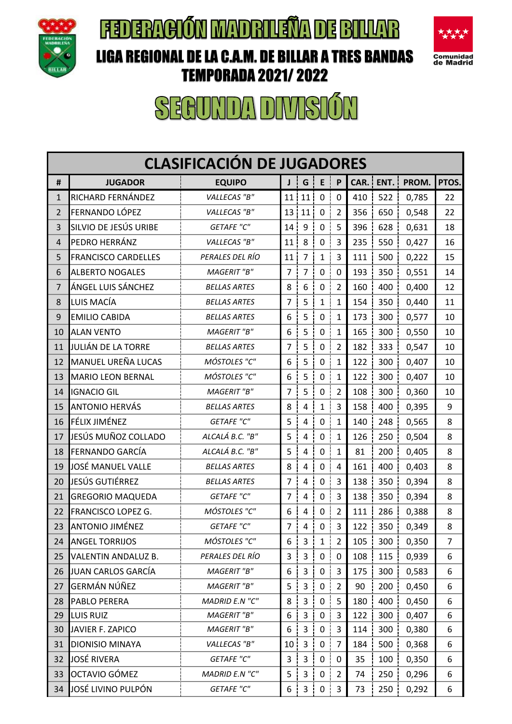

### **FEDERACIÓN MADRIUSÏA DE BILLAR**



#### LIGA REGIONAL DE LA C.A.M. DE BILLAR A TRES BANDAS TEMPORADA 2021/ 2022

| <b>CLASIFICACIÓN DE JUGADORES</b> |                            |                     |                |                         |              |                |      |      |       |       |
|-----------------------------------|----------------------------|---------------------|----------------|-------------------------|--------------|----------------|------|------|-------|-------|
| #                                 | <b>JUGADOR</b>             | <b>EQUIPO</b>       | J              | G                       | E            | $\mathsf{P}$   | CAR. | ENT. | PROM. | PTOS. |
| 1                                 | RICHARD FERNÁNDEZ          | VALLECAS "B"        | 11             | 11                      | $\mathbf 0$  | $\mathbf 0$    | 410  | 522  | 0,785 | 22    |
| 2                                 | FERNANDO LÓPEZ             | VALLECAS "B"        | 13             | 11                      | $\pmb{0}$    | $\overline{2}$ | 356  | 650  | 0,548 | 22    |
| 3                                 | SILVIO DE JESÚS URIBE      | <b>GETAFE "C"</b>   | 14             | 9                       | $\mathbf 0$  | 5              | 396  | 628  | 0,631 | 18    |
| 4                                 | PEDRO HERRÁNZ              | VALLECAS "B"        | 11             | 8                       | $\mathbf 0$  | 3              | 235  | 550  | 0,427 | 16    |
| 5                                 | <b>FRANCISCO CARDELLES</b> | PERALES DEL RÍO     | 11             | $\overline{7}$          | $\mathbf{1}$ | 3              | 111  | 500  | 0,222 | 15    |
| 6                                 | <b>ALBERTO NOGALES</b>     | <b>MAGERIT</b> "B"  | $\overline{7}$ | $\overline{7}$          | $\pmb{0}$    | $\mathbf 0$    | 193  | 350  | 0,551 | 14    |
| 7                                 | ÁNGEL LUIS SÁNCHEZ         | <b>BELLAS ARTES</b> | 8              | 6                       | $\pmb{0}$    | $\overline{2}$ | 160  | 400  | 0,400 | 12    |
| 8                                 | LUIS MACÍA                 | <b>BELLAS ARTES</b> | 7              | 5                       | $\mathbf{1}$ | $\mathbf{1}$   | 154  | 350  | 0,440 | 11    |
| 9                                 | <b>EMILIO CABIDA</b>       | <b>BELLAS ARTES</b> | 6              | 5                       | $\pmb{0}$    | 1              | 173  | 300  | 0,577 | 10    |
| 10                                | <b>ALAN VENTO</b>          | <b>MAGERIT</b> "B"  | 6              | 5                       | $\pmb{0}$    | 1              | 165  | 300  | 0,550 | 10    |
| 11                                | JULIÁN DE LA TORRE         | <b>BELLAS ARTES</b> | 7              | 5                       | $\mathbf 0$  | $\overline{2}$ | 182  | 333  | 0,547 | 10    |
| 12                                | <b>MANUEL UREÑA LUCAS</b>  | MÓSTOLES "C"        | 6              | 5                       | $\pmb{0}$    | $\mathbf{1}$   | 122  | 300  | 0,407 | 10    |
| 13                                | <b>MARIO LEON BERNAL</b>   | MÓSTOLES "C"        | 6              | 5                       | $\mathbf 0$  | $\mathbf{1}$   | 122  | 300  | 0,407 | 10    |
| 14                                | <b>IGNACIO GIL</b>         | <b>MAGERIT</b> "B"  | $\overline{7}$ | 5                       | $\mathbf 0$  | $\overline{2}$ | 108  | 300  | 0,360 | 10    |
| 15                                | <b>ANTONIO HERVÁS</b>      | <b>BELLAS ARTES</b> | 8              | 4                       | $\mathbf{1}$ | 3              | 158  | 400  | 0,395 | 9     |
| 16                                | FÉLIX JIMÉNEZ              | <b>GETAFE "C"</b>   | 5              | 4                       | $\pmb{0}$    | 1              | 140  | 248  | 0,565 | 8     |
| 17                                | JESÚS MUÑOZ COLLADO        | ALCALÁ B.C. "B"     | 5              | 4                       | $\pmb{0}$    | $\mathbf{1}$   | 126  | 250  | 0,504 | 8     |
| 18                                | FERNANDO GARCÍA            | ALCALÁ B.C. "B"     | 5              | 4                       | $\pmb{0}$    | $\mathbf{1}$   | 81   | 200  | 0,405 | 8     |
| 19                                | JOSÉ MANUEL VALLE          | <b>BELLAS ARTES</b> | 8              | 4                       | $\pmb{0}$    | 4              | 161  | 400  | 0,403 | 8     |
| 20                                | JESÚS GUTIÉRREZ            | <b>BELLAS ARTES</b> | 7              | $\overline{\mathbf{4}}$ | $\pmb{0}$    | 3              | 138  | 350  | 0,394 | 8     |
| 21                                | <b>GREGORIO MAQUEDA</b>    | <b>GETAFE "C"</b>   | 7              | $\overline{\mathbf{4}}$ | $\pmb{0}$    | 3              | 138  | 350  | 0,394 | 8     |
| 22                                | FRANCISCO LOPEZ G.         | MÓSTOLES "C"        | 6              | 4                       | $\mathbf 0$  | $\overline{2}$ | 111  | 286  | 0,388 | 8     |
| 23                                | <b>ANTONIO JIMÉNEZ</b>     | <b>GETAFE "C"</b>   | 7              | 4                       | $\pmb{0}$    | 3              | 122  | 350  | 0,349 | 8     |
| 24                                | ANGEL TORRIJOS             | MÓSTOLES "C"        | 6              | 3 <sup>1</sup>          | $1\vert$     | $\overline{2}$ | 105  | 300  | 0,350 | 7     |
| 25                                | VALENTIN ANDALUZ B.        | PERALES DEL RÍO     | 3              | $\mathbf{3}$            | $\mathsf 0$  | $\mathbf 0$    | 108  | 115  | 0,939 | 6     |
| 26                                | <b>JUAN CARLOS GARCÍA</b>  | MAGERIT "B"         | 6              | 3                       | $\mathbf 0$  | 3              | 175  | 300  | 0,583 | 6     |
| 27                                | GERMÁN NÚÑEZ               | MAGERIT "B"         | 5              | 3                       | $\mathbf 0$  | $\overline{2}$ | 90   | 200  | 0,450 | 6     |
| 28                                | PABLO PERERA               | MADRID E.N "C"      | 8              | $\mathsf{3}$            | $\pmb{0}$    | 5              | 180  | 400  | 0,450 | 6     |
| 29                                | LUIS RUIZ                  | MAGERIT "B"         | 6              | 3                       | $\mathbf 0$  | 3              | 122  | 300  | 0,407 | 6     |
| 30                                | JAVIER F. ZAPICO           | MAGERIT "B"         | 6              | $\overline{\mathbf{3}}$ | $\pmb{0}$    | 3              | 114  | 300  | 0,380 | 6     |
| 31                                | DIONISIO MINAYA            | VALLECAS "B"        | 10             | 3                       | $\pmb{0}$    | $\overline{7}$ | 184  | 500  | 0,368 | 6     |
| 32                                | <b>JOSÉ RIVERA</b>         | <b>GETAFE "C"</b>   | 3              | 3                       | $\mathbf 0$  | 0              | 35   | 100  | 0,350 | 6     |
| 33                                | OCTAVIO GÓMEZ              | MADRID E.N "C"      | 5              | 3                       | $\mathbf 0$  | $\overline{2}$ | 74   | 250  | 0,296 | 6     |
| 34                                | JOSÉ LIVINO PULPÓN         | <b>GETAFE "C"</b>   | 6              | $3 \mid$                | $\pmb{0}$    | 3              | 73   | 250  | 0,292 | 6     |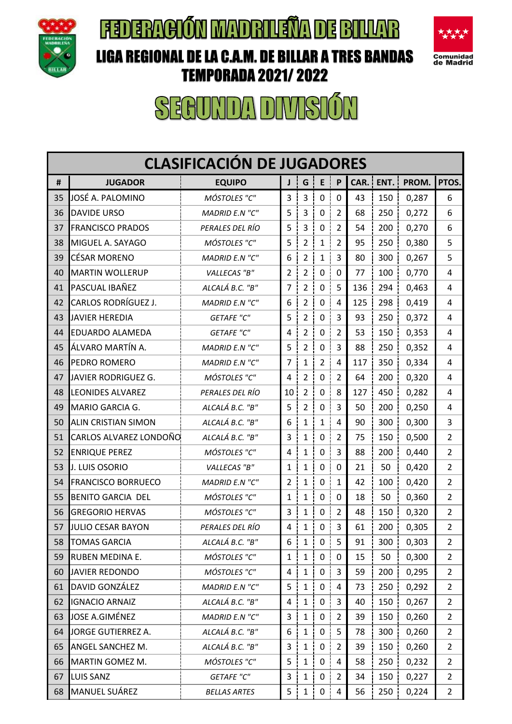

## **FEDERACIÓN MADRILEÑA DE BILLAR**



### LIGA REGIONAL DE LA C.A.M. DE BILLAR A TRES BANDAS TEMPORADA 2021/ 2022

| <b>CLASIFICACIÓN DE JUGADORES</b> |                            |                     |                 |                |                   |                |      |      |       |                |
|-----------------------------------|----------------------------|---------------------|-----------------|----------------|-------------------|----------------|------|------|-------|----------------|
| #                                 | <b>JUGADOR</b>             | <b>EQUIPO</b>       | J               | G              | E                 | P              | CAR. | ENT. | PROM. | PTOS.          |
| 35                                | JOSÉ A. PALOMINO           | MÓSTOLES "C"        | 3               | 3              | $\mathbf 0$       | 0              | 43   | 150  | 0,287 | 6              |
| 36                                | <b>DAVIDE URSO</b>         | MADRID E.N "C"      | 5               | 3              | $\pmb{0}$         | $\overline{2}$ | 68   | 250  | 0,272 | 6              |
| 37                                | <b>FRANCISCO PRADOS</b>    | PERALES DEL RÍO     | 5               | $\overline{3}$ | $\mathbf 0$       | $\overline{2}$ | 54   | 200  | 0,270 | 6              |
| 38                                | MIGUEL A. SAYAGO           | MÓSTOLES "C"        | 5               | $\overline{2}$ | $\mathbf{1}$      | $\overline{2}$ | 95   | 250  | 0,380 | 5              |
| 39                                | <b>CÉSAR MORENO</b>        | MADRID E.N "C"      | 6               | $\overline{2}$ | $\mathbf{1}$      | 3              | 80   | 300  | 0,267 | 5              |
| 40                                | <b>MARTIN WOLLERUP</b>     | VALLECAS "B"        | $\overline{2}$  | $\overline{2}$ | $\pmb{0}$         | $\mathbf 0$    | 77   | 100  | 0,770 | 4              |
| 41                                | PASCUAL IBAÑEZ             | ALCALÁ B.C. "B"     | 7               | 2              | 0                 | 5              | 136  | 294  | 0,463 | 4              |
| 42                                | CARLOS RODRÍGUEZ J.        | MADRID E.N "C"      | 6               | $\overline{2}$ | $\pmb{0}$         | 4              | 125  | 298  | 0,419 | 4              |
| 43                                | <b>JAVIER HEREDIA</b>      | <b>GETAFE "C"</b>   | 5               | $\overline{2}$ | $\pmb{0}$         | 3              | 93   | 250  | 0,372 | 4              |
| 44                                | <b>EDUARDO ALAMEDA</b>     | <b>GETAFE "C"</b>   | 4               | $\overline{2}$ | $\pmb{0}$         | $\overline{2}$ | 53   | 150  | 0,353 | 4              |
| 45                                | ÁLVARO MARTÍN A.           | MADRID E.N "C"      | 5               | $\overline{2}$ | $\pmb{0}$         | 3              | 88   | 250  | 0,352 | 4              |
| 46                                | PEDRO ROMERO               | MADRID E.N "C"      | 7               | $\mathbf{1}$   | $\overline{2}$    | $\overline{4}$ | 117  | 350  | 0,334 | 4              |
| 47                                | JAVIER RODRIGUEZ G.        | MÓSTOLES "C"        | 4               | $\overline{2}$ | $\pmb{0}$         | $\overline{2}$ | 64   | 200  | 0,320 | 4              |
| 48                                | <b>LEONIDES ALVAREZ</b>    | PERALES DEL RÍO     | 10 <sub>1</sub> | $\overline{2}$ | $\mathbf 0$       | 8              | 127  | 450  | 0,282 | 4              |
| 49                                | MARIO GARCIA G.            | ALCALÁ B.C. "B"     | 5               | $\overline{2}$ | $\mathbf 0$       | 3              | 50   | 200  | 0,250 | 4              |
| 50                                | <b>ALIN CRISTIAN SIMON</b> | ALCALÁ B.C. "B"     | 6               | $\mathbf{1}$   | $\mathbf{1}$      | 4              | 90   | 300  | 0,300 | 3              |
| 51                                | CARLOS ALVAREZ LONDOÑO     | ALCALÁ B.C. "B"     | 3               | $\mathbf{1}$   | $\pmb{0}$         | $\overline{2}$ | 75   | 150  | 0,500 | $\overline{2}$ |
| 52                                | <b>ENRIQUE PEREZ</b>       | MÓSTOLES "C"        | 4               | $\mathbf{1}$   | $\pmb{0}$         | 3              | 88   | 200  | 0,440 | $\overline{2}$ |
| 53                                | J. LUIS OSORIO             | VALLECAS "B"        | $\mathbf{1}$    | $\mathbf{1}$   | $\pmb{0}$         | 0              | 21   | 50   | 0,420 | $\overline{2}$ |
| 54                                | <b>FRANCISCO BORRUECO</b>  | MADRID E.N "C"      | $\overline{2}$  | $\mathbf{1}$   | $\mathbf 0$       | 1              | 42   | 100  | 0,420 | $\overline{2}$ |
| 55                                | <b>BENITO GARCIA DEL</b>   | MÓSTOLES "C"        | $\mathbf{1}$    | $\mathbf{1}$   | $\pmb{0}$         | $\mathbf 0$    | 18   | 50   | 0,360 | $\overline{2}$ |
| 56                                | <b>GREGORIO HERVAS</b>     | MÓSTOLES "C"        | 3               | $\mathbf{1}$   | 0                 | $\overline{2}$ | 48   | 150  | 0,320 | $\overline{2}$ |
| 57                                | <b>JULIO CESAR BAYON</b>   | PERALES DEL RÍO     | 4               | $\mathbf{1}$   | $\mathbf 0$       | 3              | 61   | 200  | 0,305 | $\overline{2}$ |
| 58                                | <b>TOMAS GARCIA</b>        | ALCALÁ B.C. "B"     | 6 <sup>1</sup>  |                | $1 \mid 0 \mid 5$ |                | 91   | 300  | 0,303 | $\overline{2}$ |
| 59                                | RUBEN MEDINA E.            | MÓSTOLES "C"        | $\mathbf{1}$    | $\mathbf{1}$   | $\overline{0}$    | 0              | 15   | 50   | 0,300 | $\overline{2}$ |
| 60                                | JAVIER REDONDO             | MÓSTOLES "C"        | 4               | $\mathbf{1}$   | $\mathsf{O}$      | 3              | 59   | 200  | 0,295 | $\overline{2}$ |
| 61                                | DAVID GONZÁLEZ             | MADRID E.N "C"      | 5               | $\mathbf{1}$   | $\mathsf{O}$      | 4              | 73   | 250  | 0,292 | $\overline{2}$ |
| 62                                | <b>IGNACIO ARNAIZ</b>      | ALCALÁ B.C. "B"     | 4               | $\mathbf{1}$   | $\mathbf 0$       | 3              | 40   | 150  | 0,267 | $\overline{2}$ |
| 63                                | JOSE A.GIMÉNEZ             | MADRID E.N "C"      | 3 <sup>1</sup>  | $\mathbf{1}$   | $\mathsf{O}$      | $\overline{2}$ | 39   | 150  | 0,260 | $\overline{2}$ |
| 64                                | JORGE GUTIERREZ A.         | ALCALÁ B.C. "B"     | 6               | $\mathbf{1}$   | $\mathbf 0$       | 5              | 78   | 300  | 0,260 | $\overline{2}$ |
| 65                                | ANGEL SANCHEZ M.           | ALCALÁ B.C. "B"     | 3               | $\mathbf{1}$   | $\mathbf 0$       | $\overline{2}$ | 39   | 150  | 0,260 | $\overline{2}$ |
| 66                                | MARTIN GOMEZ M.            | MÓSTOLES "C"        | 5               | $\mathbf{1}$   | $\mathbf{0}$      | 4              | 58   | 250  | 0,232 | $\overline{2}$ |
| 67                                | <b>LUIS SANZ</b>           | <b>GETAFE "C"</b>   | 3               | $1\vert$       | $\mathsf{O}$      | $\overline{2}$ | 34   | 150  | 0,227 | $\overline{2}$ |
| 68                                | MANUEL SUÁREZ              | <b>BELLAS ARTES</b> | 5               | $1 \nvert$     | 0 <sup>1</sup>    | 4              | 56   | 250  | 0,224 | $\overline{2}$ |